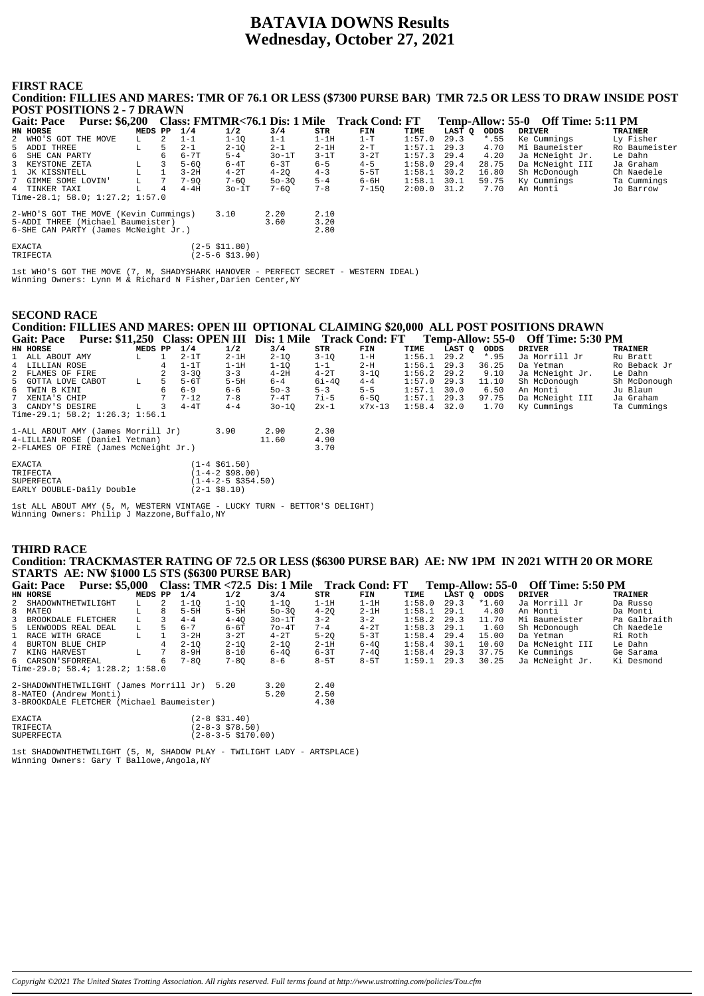# **BATAVIA DOWNS Results Wednesday, October 27, 2021**

#### **FIRST RACE Condition: FILLIES AND MARES: TMR OF 76.1 OR LESS (\$7300 PURSE BAR) TMR 72.5 OR LESS TO DRAW INSIDE POST POST POSITIONS 2 - 7 DRAWN Gait: Pace Purse: \$6,200 Class: FMTMR<76.1 Dis: 1 Mile Track Cond: FT Temp-Allow: 55-0 Off Time: 5:11 PM<br>
EN HORSE OF THE MOVE MEDS PP 1/4 1/2 3/4 STR FINE TIME LAST Q ODDS DRIVER TRAINER<br>
2 MHO'S GOT THE MOVE L 2 1-1 1-1 HAST Q ODDS DRIVER THE TRAINER**<br>29.3 **4.55 Ke Cummings** Ly Fisher<br>29.3 4.70 Mil Pourmoister Bo Baumeister NHO'S GOT THE MOVE 5 ADDI THREE L 5 2-1 2-1Q 2-1 2-1H 2-T 1:57.1 29.3 4.70 Mi Baumeister Ro Baumeister 6 SHE CAN PARTY 6 6-7T 5-4 3o-1T 3-1T 3-2T 1:57.3 29.4 4.20 Ja McNeight Jr. Le Dahn

| u ADDI INNA                           |   |   | $2 - 1$  | 4-TV            | $4 - 1$   | 4711    | $2 - 1$   | 1.1.1.1.1.7.7.1 |      | <b>T.</b> / <b>V</b> | MI DQUMCISLCI   | WA DOMMCTORCT |
|---------------------------------------|---|---|----------|-----------------|-----------|---------|-----------|-----------------|------|----------------------|-----------------|---------------|
| 6 SHE CAN PARTY                       |   | 6 | $6 - 7T$ | $5 - 4$         | $30-1T$   | $3-1T$  | $3-2T$    | $1:57.3$ 29.4   |      | 4.20                 | Ja McNeight Jr. | Le Dahn       |
| 3 KEYSTONE ZETA                       |   |   | $5 - 60$ | $6-4T$          | 6-3T      | $6 - 5$ | $4 - 5$   | $1:58.0$ 29.4   |      | 28.75                | Da McNeight III | Ja Graham     |
| 1 JK KISSNTELL                        |   |   | $3-2H$   | $4-2T$          | $4 - 20$  | $4 - 3$ | $5-5T$    | 1:58.1          | 30.2 | 16.80                | Sh McDonough    | Ch Naedele    |
| 7 GIMME SOME LOVIN'                   | L |   | $7 - 90$ | $7 - 60$        | $50 - 30$ | $5 - 4$ | 6-6H      | 1:58.1          | 30.1 | 59.75                | Ky Cummings     | Ta Cummings   |
| 4 TINKER TAXI                         |   | 4 | $4-4H$   | $30-1T$         | $7 - 60$  | $7 - 8$ | $7 - 150$ | $2:00.0$ 31.2   |      | 7.70                 | An Monti        | Jo Barrow     |
| Time-28.1; 58.0; 1:27.2; 1:57.0       |   |   |          |                 |           |         |           |                 |      |                      |                 |               |
|                                       |   |   |          |                 |           |         |           |                 |      |                      |                 |               |
| 2-WHO'S GOT THE MOVE (Kevin Cummings) |   |   |          | 3.10            | 2.20      | 2.10    |           |                 |      |                      |                 |               |
| 5-ADDI THREE (Michael Baumeister)     |   |   |          |                 | 3.60      | 3.20    |           |                 |      |                      |                 |               |
| 6-SHE CAN PARTY (James McNeight Jr.)  |   |   |          |                 |           | 2.80    |           |                 |      |                      |                 |               |
|                                       |   |   |          |                 |           |         |           |                 |      |                      |                 |               |
| EXACTA                                |   |   |          | (2-5 \$11.80)   |           |         |           |                 |      |                      |                 |               |
| TRIFECTA                              |   |   |          | (2-5-6 \$13.90) |           |         |           |                 |      |                      |                 |               |
|                                       |   |   |          |                 |           |         |           |                 |      |                      |                 |               |

1st WHO'S GOT THE MOVE (7, M, SHADYSHARK HANOVER - PERFECT SECRET - WESTERN IDEAL) Winning Owners: Lynn M & Richard N Fisher,Darien Center,NY

# **SECOND RACE**

# **Condition: FILLIES AND MARES: OPEN III OPTIONAL CLAIMING \$20,000 ALL POST POSITIONS DRAWN**

| <b>Gait: Pace</b>  | <b>Purse: \$11,250</b>                  |         |   | <b>Class: OPEN III</b> |                                           | Dis: 1 Mile |          | <b>Track Cond: FT</b> |               |        | Temp-Allow: 55-0 | <b>Off Time: 5:30 PM</b> |              |
|--------------------|-----------------------------------------|---------|---|------------------------|-------------------------------------------|-------------|----------|-----------------------|---------------|--------|------------------|--------------------------|--------------|
| HN HORSE           |                                         | MEDS PP |   | 1/4                    | 1/2                                       | 3/4         | STR      | FIN                   | TIME          | LAST O | ODDS             | <b>DRIVER</b>            | TRAINER      |
| 1 ALL ABOUT AMY    |                                         | L.      |   | $2 - 1T$               | $2-1H$                                    | $2 - 10$    | $3 - 10$ | $1-H$                 | 1:56.1        | 29.2   | $*.95$           | Ja Morrill Jr            | Ru Bratt     |
| 4 LILLIAN ROSE     |                                         |         |   | $1-1T$                 | $1-1H$                                    | $1 - 10$    | $1 - 1$  | $2-H$                 | 1:56.1        | 29.3   | 36.25            | Da Yetman                | Ro Beback Jr |
| 2 FLAMES OF FIRE   |                                         |         |   | $3 - 30$               | $3 - 3$                                   | $4-2H$      | $4-2T$   | $3 - 10$              | 1:56.2        | 29.2   | 9.10             | Ja McNeight Jr.          | Le Dahn      |
| 5 GOTTA LOVE CABOT |                                         | L       | 5 | $5-6T$                 | $5-5H$                                    | $6 - 4$     | 6i-40    | $4 - 4$               | 1:57.0        | 29.3   | 11.10            | Sh McDonough             | Sh McDonough |
| 6 TWIN B KINI      |                                         |         | 6 | $6 - 9$                | $6 - 6$                                   | $50 - 3$    | $5 - 3$  | $5 - 5$               | 1:57.1        | 30.0   | 6.50             | An Monti                 | Ju Blaun     |
| 7 XENIA'S CHIP     |                                         |         |   | $7 - 12$               | $7 - 8$                                   | $7 - 4T$    | $7i-5$   | $6 - 50$              | 1:57.1        | 29.3   | 97.75            | Da McNeight III          | Ja Graham    |
| 3 CANDY'S DESIRE   |                                         | т.      | 3 | $4 - 4T$               | $4 - 4$                                   | $30 - 10$   | $2x-1$   | x7x-13                | $1:58.4$ 32.0 |        | 1.70             | Ky Cummings              | Ta Cummings  |
|                    | Time-29.1; $58.2$ ; $1:26.3$ ; $1:56.1$ |         |   |                        |                                           |             |          |                       |               |        |                  |                          |              |
|                    | 1-ALL ABOUT AMY (James Morrill Jr)      |         |   |                        | 3.90                                      | 2.90        | 2.30     |                       |               |        |                  |                          |              |
|                    | 4-LILLIAN ROSE (Daniel Yetman)          |         |   |                        |                                           | 11.60       | 4.90     |                       |               |        |                  |                          |              |
|                    | 2-FLAMES OF FIRE (James McNeight Jr.)   |         |   |                        |                                           |             | 3.70     |                       |               |        |                  |                          |              |
| $\Box$             |                                         |         |   |                        | $(1)$ $(1)$ $(1)$ $(1)$ $(1)$ $(1)$ $(1)$ |             |          |                       |               |        |                  |                          |              |

| EXACTA                    | $(1-4 \t$61.50)$                   |
|---------------------------|------------------------------------|
| TR T F F.C.TA             | $(1-4-2 \; $98.00)$                |
| SUPERFECTA                | $(1 - 4 - 2 - 5 \text{ } $354.50)$ |
| EARLY DOUBLE-Daily Double | $(2-1$ \$8.10)                     |
|                           |                                    |

1st ALL ABOUT AMY (5, M, WESTERN VINTAGE - LUCKY TURN - BETTOR'S DELIGHT) Winning Owners: Philip J Mazzone,Buffalo,NY

# **THIRD RACE Condition: TRACKMASTER RATING OF 72.5 OR LESS (\$6300 PURSE BAR) AE: NW 1PM IN 2021 WITH 20 OR MORE**

|               |                      | <b>STARTS AE: NW \$1000 L5 STS (\$6300 PURSE BAR)</b> |         |     |                   |                             |                                                                       |          |          |        |             |         |                                    |                |
|---------------|----------------------|-------------------------------------------------------|---------|-----|-------------------|-----------------------------|-----------------------------------------------------------------------|----------|----------|--------|-------------|---------|------------------------------------|----------------|
|               |                      |                                                       |         |     |                   |                             | Gait: Pace Purse: \$5,000 Class: TMR <72.5 Dis: 1 Mile Track Cond: FT |          |          |        |             |         | Temp-Allow: 55-0 Off Time: 5:50 PM |                |
|               | HN HORSE             |                                                       | MEDS PP |     | 1/4               | 1/2                         | 3/4                                                                   | STR      | FIN      | TIME   | LAST Q ODDS |         | <b>DRIVER</b>                      | <b>TRAINER</b> |
|               | 2 SHADOWNTHETWILIGHT |                                                       | L.      | 2   | $1 - 10$          | $1 - 10$                    | $1 - 10$                                                              | $1-1H$   | $1-1H$   | 1:58.0 | 29.3        | $*1.60$ | Ja Morrill Jr                      | Da Russo       |
| 8             | MATEO                |                                                       | L       | 8   | $5-5H$            | $5-5H$                      | $50 - 3Q$                                                             | $4 - 20$ | $2 - 1H$ | 1:58.1 | 29.1        | 4.80    | An Monti                           | Da Monti       |
|               | 3 BROOKDALE FLETCHER |                                                       | L.      |     | $4 - 4$           | $4 - 40$                    | $30-1T$                                                               | $3 - 2$  | $3 - 2$  | 1:58.2 | 29.3        | 11.70   | Mi Baumeister                      | Pa Galbraith   |
|               |                      | 5 LENWOODS REAL DEAL                                  | L.      | - 5 | $6 - 7$           | $6 - 6T$                    | $7o-4T$                                                               | $7 - 4$  | $4-2T$   | 1:58.3 | 29.1        | 1.60    | Sh McDonough                       | Ch Naedele     |
|               | 1 RACE WITH GRACE    |                                                       | г       |     | $3-2H$            | $3 - 2T$                    | $4-2T$                                                                | $5 - 20$ | $5-3T$   | 1:58.4 | 29.4        | 15.00   | Da Yetman                          | Ri Roth        |
| 4             | BURTON BLUE CHIP     |                                                       |         |     | $2 - 10$          | $2 - 10$                    | $2 - 10$                                                              | $2-1H$   | $6 - 40$ | 1:58.4 | 30.1        | 10.60   | Da McNeight III                    | Le Dahn        |
|               | 7 KING HARVEST       |                                                       | г       |     | $8-9H$            | $8 - 10$                    | $6 - 40$                                                              | $6 - 3T$ | $7 - 40$ | 1:58.4 | 29.3        | 37.75   | Ke Cummings                        | Ge Sarama      |
|               | 6 CARSON'SFORREAL    |                                                       |         | 6   | $7 - 80$          | $7 - 80$                    | 8-6                                                                   | $8-5T$   | $8-5T$   | 1:59.1 | 29.3        | 30.25   | Ja McNeight Jr.                    | Ki Desmond     |
|               |                      | Time-29.0; 58.4; 1:28.2; 1:58.0                       |         |     |                   |                             |                                                                       |          |          |        |             |         |                                    |                |
|               |                      | 2-SHADOWNTHETWILIGHT (James Morrill Jr) 5.20          |         |     |                   |                             | 3.20                                                                  | 2.40     |          |        |             |         |                                    |                |
|               |                      | 8-MATEO (Andrew Monti)                                |         |     |                   |                             | 5.20                                                                  | 2.50     |          |        |             |         |                                    |                |
|               |                      | 3-BROOKDALE FLETCHER (Michael Baumeister)             |         |     |                   |                             |                                                                       | 4.30     |          |        |             |         |                                    |                |
|               |                      |                                                       |         |     |                   |                             |                                                                       |          |          |        |             |         |                                    |                |
| <b>EXACTA</b> |                      |                                                       |         |     | $(2-8 \; $31.40)$ |                             |                                                                       |          |          |        |             |         |                                    |                |
|               | TRIFECTA             |                                                       |         |     |                   | $(2-8-3 \; $78.50)$         |                                                                       |          |          |        |             |         |                                    |                |
|               | <b>SUPERFECTA</b>    |                                                       |         |     |                   | $(2 - 8 - 3 - 5 \pm 70.00)$ |                                                                       |          |          |        |             |         |                                    |                |
|               |                      |                                                       |         |     |                   |                             |                                                                       |          |          |        |             |         |                                    |                |

1st SHADOWNTHETWILIGHT (5, M, SHADOW PLAY - TWILIGHT LADY - ARTSPLACE) Winning Owners: Gary T Ballowe,Angola,NY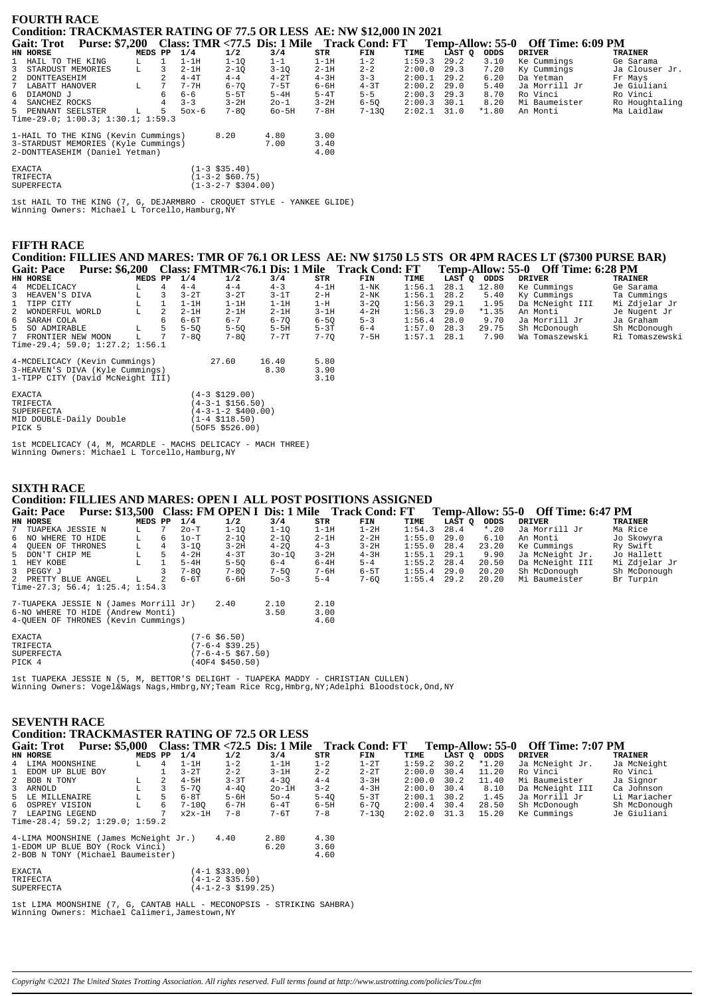|              | <b>FOURTH RACE</b> |                                           |         |             |          |                       |           |          |                                                                       |        |        |         |                                    |                |
|--------------|--------------------|-------------------------------------------|---------|-------------|----------|-----------------------|-----------|----------|-----------------------------------------------------------------------|--------|--------|---------|------------------------------------|----------------|
|              |                    |                                           |         |             |          |                       |           |          | Condition: TRACKMASTER RATING OF 77.5 OR LESS AE: NW \$12,000 IN 2021 |        |        |         |                                    |                |
|              |                    |                                           |         |             |          |                       |           |          |                                                                       |        |        |         |                                    |                |
|              |                    |                                           |         |             |          |                       |           |          | Gait: Trot Purse: \$7,200 Class: TMR <77.5 Dis: 1 Mile Track Cond: FT |        |        |         | Temp-Allow: 55-0 Off Time: 6:09 PM |                |
|              | HN HORSE           |                                           | MEDS PP |             | 1/4      | 1/2                   | 3/4       | STR      | FIN                                                                   | TIME   | LAST Q | ODDS    | <b>DRIVER</b>                      | <b>TRAINER</b> |
|              |                    | 1 HAIL TO THE KING                        | L.      |             | $1-1H$   | $1 - 10$              | $1 - 1$   | $1-1H$   | $1 - 2$                                                               | 1:59.3 | 29.2   | 3.10    | Ke Cummings                        | Ge Sarama      |
| $\mathbf{3}$ |                    | STARDUST MEMORIES                         | L       | 3.          | $2-1H$   | $2 - 10$              | $3 - 10$  | $2-1H$   | $2 - 2$                                                               | 2:00.0 | 29.3   | 7.20    | Ky Cummings                        | Ja Clouser Jr. |
|              | 2 DONTTEASEHIM     |                                           |         |             | $4-4T$   | $4 - 4$               | $4-2T$    | $4-3H$   | $3 - 3$                                                               | 2:00.1 | 29.2   | 6.20    | Da Yetman                          | Fr Mays        |
| $7^{\circ}$  | LABATT HANOVER     |                                           | L       | $7^{\circ}$ | $7 - 7H$ | $6 - 70$              | $7 - 5T$  | 6-6H     | $4-3T$                                                                | 2:00.2 | 29.0   | 5.40    | Ja Morrill Jr                      | Je Giuliani    |
|              | 6 DIAMOND J        |                                           |         |             | $6 - 6$  | $5-5T$                | $5-4H$    | $5-4T$   | $5 - 5$                                                               | 2:00.3 | 29.3   | 8.70    | Ro Vinci                           | Ro Vinci       |
|              | 4 SANCHEZ ROCKS    |                                           |         |             | $3 - 3$  | $3 - 2H$              | $20 - 1$  | $3 - 2H$ | $6 - 5Q$                                                              | 2:00.3 | 30.1   | 8.20    | Mi Baumeister                      | Ro Houghtaling |
|              |                    | 5 PENNANT SEELSTER                        | L       | 5           | $50x-6$  | $7 - 80$              | $60 - 5H$ | $7 - 8H$ | $7 - 130$                                                             | 2:02.1 | 31.0   | $*1.80$ | An Monti                           | Ma Laidlaw     |
|              |                    | Time-29.0; $1:00.3$ ; $1:30.1$ ; $1:59.3$ |         |             |          |                       |           |          |                                                                       |        |        |         |                                    |                |
|              |                    | 1-HAIL TO THE KING (Kevin Cummings)       |         |             |          | 8.20                  | 4.80      | 3.00     |                                                                       |        |        |         |                                    |                |
|              |                    | 3-STARDUST MEMORIES (Kyle Cummings)       |         |             |          |                       | 7.00      | 3.40     |                                                                       |        |        |         |                                    |                |
|              |                    | 2-DONTTEASEHIM (Daniel Yetman)            |         |             |          |                       |           | 4.00     |                                                                       |        |        |         |                                    |                |
|              | <b>EXACTA</b>      |                                           |         |             |          | $(1-3$ \$35.40)       |           |          |                                                                       |        |        |         |                                    |                |
|              | TRIFECTA           |                                           |         |             |          | $(1-3-2 \ $60.75)$    |           |          |                                                                       |        |        |         |                                    |                |
|              | <b>SUPERFECTA</b>  |                                           |         |             |          | $(1-3-2-7 \ $304.00)$ |           |          |                                                                       |        |        |         |                                    |                |

 ${\tt Ist}$  HAIL TO THE KING (7, G, DEJARMBRO - CROQUET STYLE - YANKEE GLIDE) Winning Owners: Michael L Torcello, Hamburg, NY

### **FIFTH RACE**

Condition: FILLIES AND MARES: TMR OF 76.1 OR LESS AE: NW \$1750 L5 STS OR 4PM RACES LT (\$7300 PURSE BAR) Gait: Pace Purse: \$6,200 Class: FMTMR<76.1 Dis: 1 Mile Track Cond: FT Temp-Allow: 55-0 Off Time: 6:28 PM

| HN HORSE                                                                                             | MEDS PP |    | 1/4      | 1/2                                                                                                      | 3/4           | STR                  | FIN      | TIME   | LAST Q | ODDS    | DRIVER          | TRAINER        |
|------------------------------------------------------------------------------------------------------|---------|----|----------|----------------------------------------------------------------------------------------------------------|---------------|----------------------|----------|--------|--------|---------|-----------------|----------------|
| 4 MCDELICACY                                                                                         |         | 4  | $4 - 4$  | $4 - 4$                                                                                                  | $4 - 3$       | $4-1H$               | $1-NK$   | 1:56.1 | 28.1   | 12.80   | Ke Cummings     | Ge Sarama      |
| 3 HEAVEN'S DIVA                                                                                      | L       |    | $3-2T$   | $3-2T$                                                                                                   | $3-1T$        | $2-H$                | $2-NK$   | 1:56.1 | 28.2   | 5.40    | Ky Cummings     | Ta Cummings    |
| 1 TIPP CITY                                                                                          | L       |    | $1-1H$   | $1-1H$                                                                                                   | $1-1H$        | $1-H$                | $3 - 20$ | 1:56.3 | 29.1   | 1.95    | Da McNeight III | Mi Zdjelar Jr  |
| 2 WONDERFUL WORLD                                                                                    | L       |    | $2-1H$   | $2-1H$                                                                                                   | $2-1H$        | $3 - 1H$             | $4-2H$   | 1:56.3 | 29.0   | $*1.35$ | An Monti        | Je Nugent Jr   |
| 6 SARAH COLA                                                                                         |         | 6. | $6-6T$   | $6 - 7$                                                                                                  | $6 - 70$      | $6 - 50$             | $5 - 3$  | 1:56.4 | 28.0   | 9.70    | Ja Morrill Jr   | Ja Graham      |
| 5 SO ADMIRABLE                                                                                       | L       |    | $5 - 50$ | $5 - 50$                                                                                                 | $5 - 5H$      | $5 - 3T$             | $6 - 4$  | 1:57.0 | 28.3   | 29.75   | Sh McDonough    | Sh McDonough   |
| 7 FRONTIER NEW MOON                                                                                  |         |    | $7 - 80$ | $7 - 80$                                                                                                 | $7 - 7T$      | $7 - 70$             | $7 - 5H$ | 1:57.1 | 28.1   | 7.90    | Wa Tomaszewski  | Ri Tomaszewski |
| Time-29.4; 59.0; $1:27.2$ ; $1:56.1$                                                                 |         |    |          |                                                                                                          |               |                      |          |        |        |         |                 |                |
| 4-MCDELICACY (Kevin Cummings)<br>3-HEAVEN'S DIVA (Kyle Cummings)<br>1-TIPP CITY (David McNeight III) |         |    |          | 27.60                                                                                                    | 16.40<br>8.30 | 5.80<br>3.90<br>3.10 |          |        |        |         |                 |                |
| EXACTA<br>TRIFECTA<br>SUPERFECTA<br>MID DOUBLE-Daily Double<br>PTCK 5                                |         |    |          | (4-3 \$129.00)<br>(4-3-1 \$156.50)<br>(4-3-1-2 \$400.00)<br>$(1-4 \; \text{S118.50})$<br>(50F5 \$526 በበ) |               |                      |          |        |        |         |                 |                |

1st MCDELICACY (4, M, MCARDLE - MACHS DELICACY - MACH THREE)<br>Winning Owners: Michael L Torcello.Hamburg.NY

# **SIXTH RACE Condition: FILLIES AND MARES: OPEN I ALL POST POSITIONS ASSIGNED**

#### Temp-Allow: 55-0 Off Time: 6:47 PM<br>
LAST Q ODDS DRIVER<br>
3 28.4 \*.20 Ja Morrill Jr Ma R: Gait: Pace Purse: \$13,500 Class: FM OPEN I Dis: 1 Mile Track Cond: FT EN EORSE PR EORSE PR 1/4 1/2 3/4 STR FIN  $ODDS * . 20$ <br>6.10  $3/4$ <br> $1-10$ TIME TRAINER  $20-T$ <br> $10-T$ TUADE TESSIE N  $\frac{1111}{1.54}$  3  $1 - 1H$  $1 - 2H$  $\overline{7}$  $T_{\rm{H}}$  $\overline{7}$  $1 - 10$ Ma Rice NO WHERE TO HIDE<br>QUEEN OF THRONES<br>DON'T CHIP ME  $2 - 10$  $2 - 1H$  $2 - 2H$  $1:55.0$ Jo Skowyra  $\overline{6}$  $\overline{6}$  $2 - 10$  $29.0$ An Monti  $\bar{L}$  $3 - 1Q$ <br> $4 - 2H$  $4 - 20$ <br> $30 - 10$  $4 - 3$ <br>3-2H  $28.4$ <br> $29.1$  $23.20$ <br>9.90 Ke Cummings<br>Ja McNeight Jr. Ry Swift<br>Jo Hallett  $\begin{array}{c} 4 \\ 5 \end{array}$ T.  $\frac{4}{5}$  $3 - 2H$  $3 - 2H$  $1:55.0$ ī  $4 - 3T$  $4 - 3H$  $1:55.1$  $5 - 4H$ <br>7-8Q  $5 - 5Q$ <br>7-8Q  $6 - 4$ <br>7-50  $6 - 4H$ <br> $7 - 6H$  $5-4$ <br> $6-5$ T<br> $7-6$ Q  $1:55.2$ <br> $1:55.4$ <br> $1:55.4$  $28.4$ <br> $29.0$ Da McNeight III<br>Sh McDonough  $\overline{1}$ HEY KOBE  $\mathbf{L}$  $\overline{1}$  $20\,.\,50$ Mi Zdjelar Jr  $\overline{\mathbf{3}}$ HET ROBE<br>PEGGY J<br>PRETTY BLUE ANGEL  $\overline{\mathbf{3}}$  $20.20$ Sh McDonough  $\mathbf{L}$  $\overline{2}$  $\overline{2}$  $6 - 6T$  $6 - 6H$  $50 - 3$  $5 - 4$  $29.2$  $20.20$ Mi Baumeister Br Turpin Time-27.3; 56.4; 1:25.4; 1:54.3 7-TUAPEKA JESSIE N (James Morrill Jr)  $2.10$  $2.10$  $2.40$ 6-NO WHERE TO HIDE (Andrew Monti)<br>4-QUEEN OF THRONES (Kevin Cummings)  $3.00$ <br> $4.60$ 3.50

| <b>EXACTA</b>     | $(7 - 6 \text{ } $6.50)$    |
|-------------------|-----------------------------|
| TRIFECTA          | $(7-6-4 \text{ } $39.25)$   |
| <b>SUPERFECTA</b> | $(7-6-4-5 \text{ } $67.50)$ |
| PTCK 4            | (40F4 \$450.50)             |

1st. TUAPEKA JESSIE N (5. M. BETTOR'S DELIGHT - TUAPEKA MADDY - CHRISTIAN CULLEN) Winning Owners: Vogel&Wags Nags, Hmbrg, NY; Team Rice Rcg, Hmbrg, NY; Adelphi Bloodstock, Ond, NY

#### **SEVENTH RACE**

# **Condition: TRACKMASTER RATING OF 72.5 OR LESS**

| <b>Gait: Trot</b>  | <b>Purse: \$5,000</b>             |         |    |           |          | Class: TMR <72.5 Dis: 1 Mile Track Cond: FT |          |           |               | Temp-Allow: 55-0 |       | <b>Off Time: 7:07 PM</b> |                |
|--------------------|-----------------------------------|---------|----|-----------|----------|---------------------------------------------|----------|-----------|---------------|------------------|-------|--------------------------|----------------|
| HN HORSE           |                                   | MEDS PP |    | 1/4       | 1/2      | 3/4                                         | STR      | FIN       | TIME          | LAST O ODDS      |       | DRIVER                   | <b>TRAINER</b> |
| 4 LIMA MOONSHINE   |                                   |         |    | $1 - 1$ H | $1 - 2$  | $1-1H$                                      | $1 - 2$  | $1-2T$    | 1:59.2        | 30.2             | *1.20 | Ja McNeight Jr.          | Ja McNeight    |
| 1 EDOM UP BLUE BOY |                                   |         |    | $3-2T$    | $2 - 2$  | $3-1H$                                      | $2 - 2$  | $2 - 2T$  | $2:00.0$ 30.4 |                  | 11.20 | Ro Vinci                 | Ro Vinci       |
| 2 BOB N TONY       |                                   |         |    | $4-5H$    | $3 - 3T$ | $4 - 30$                                    | $4 - 4$  | $3 - 3H$  | $2:00.0$ 30.2 |                  | 11.40 | Mi Baumeister            | Ja Signor      |
| 3 ARNOLD           |                                   |         |    | $5 - 70$  | $4 - 40$ | $2o-1H$                                     | $3 - 2$  | $4 - 3H$  | $2:00.0$ 30.4 |                  | 8.10  | Da McNeight III          | Ca Johnson     |
| 5 LE MILLENAIRE    |                                   |         |    | 6-8T      | $5 - 6H$ | $50 - 4$                                    | $5 - 40$ | $5-3T$    | $2:00.1$ 30.2 |                  | 1.45  | Ja Morrill Jr            | Li Mariacher   |
| 6 OSPREY VISION    |                                   |         | б. | $7 - 100$ | 6-7H     | $6-4T$                                      | 6-5H     | $6 - 70$  | $2:00.4$ 30.4 |                  | 28.50 | Sh McDonough             | Sh McDonough   |
| 7 LEAPING LEGEND   |                                   |         |    | $x2x-1H$  | $7 - 8$  | 7-6T                                        | $7 - 8$  | $7 - 130$ | $2:02.0$ 31.3 |                  | 15.20 | Ke Cummings              | Je Giuliani    |
|                    | Time-28.4; 59.2; $1:29.0; 1:59.2$ |         |    |           |          |                                             |          |           |               |                  |       |                          |                |

| 4-LIMA MOONSHINE (James McNeight Jr.)<br>1-EDOM UP BLUE BOY (Rock Vinci)<br>2-BOB N TONY (Michael Baumeister) | 4.40               | 2.80<br>6.20 | 4.30<br>3.60<br>4.60 |
|---------------------------------------------------------------------------------------------------------------|--------------------|--------------|----------------------|
| <b>EXACTA</b>                                                                                                 | $(4 - 1)$ \$33 00) |              |                      |

 $(4-1 \; \text{\$33.00})$ <br> $(4-1-2 \; \text{\$35.50})$ <br> $(4-1-2-3 \; \text{\$199.25})$ TRIFECTA **SUPERFECTA** 

1st LIMA MOONSHINE (7, G, CANTAB HALL - MECONOPSIS - STRIKING SAHBRA) Winning Owners: Michael Calimeri, Jamestown, NY